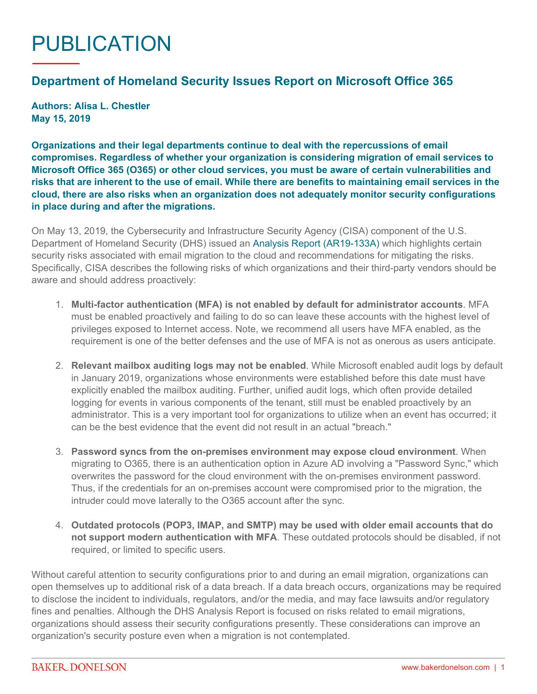## PUBLICATION

## **Department of Homeland Security Issues Report on Microsoft Office 365**

**Authors: Alisa L. Chestler May 15, 2019**

**Organizations and their legal departments continue to deal with the repercussions of email compromises. Regardless of whether your organization is considering migration of email services to Microsoft Office 365 (O365) or other cloud services, you must be aware of certain vulnerabilities and risks that are inherent to the use of email. While there are benefits to maintaining email services in the cloud, there are also risks when an organization does not adequately monitor security configurations in place during and after the migrations.**

On May 13, 2019, the Cybersecurity and Infrastructure Security Agency (CISA) component of the U.S. Department of Homeland Security (DHS) issued an [Analysis Report \(AR19-133A\)](https://www.us-cert.gov/ncas/analysis-reports/AR19-133A) which highlights certain security risks associated with email migration to the cloud and recommendations for mitigating the risks. Specifically, CISA describes the following risks of which organizations and their third-party vendors should be aware and should address proactively:

- 1. **Multi-factor authentication (MFA) is not enabled by default for administrator accounts**. MFA must be enabled proactively and failing to do so can leave these accounts with the highest level of privileges exposed to Internet access. Note, we recommend all users have MFA enabled, as the requirement is one of the better defenses and the use of MFA is not as onerous as users anticipate.
- 2. **Relevant mailbox auditing logs may not be enabled**. While Microsoft enabled audit logs by default in January 2019, organizations whose environments were established before this date must have explicitly enabled the mailbox auditing. Further, unified audit logs, which often provide detailed logging for events in various components of the tenant, still must be enabled proactively by an administrator. This is a very important tool for organizations to utilize when an event has occurred; it can be the best evidence that the event did not result in an actual "breach."
- 3. **Password syncs from the on-premises environment may expose cloud environment**. When migrating to O365, there is an authentication option in Azure AD involving a "Password Sync," which overwrites the password for the cloud environment with the on-premises environment password. Thus, if the credentials for an on-premises account were compromised prior to the migration, the intruder could move laterally to the O365 account after the sync.
- 4. **Outdated protocols (POP3, IMAP, and SMTP) may be used with older email accounts that do not support modern authentication with MFA**. These outdated protocols should be disabled, if not required, or limited to specific users.

Without careful attention to security configurations prior to and during an email migration, organizations can open themselves up to additional risk of a data breach. If a data breach occurs, organizations may be required to disclose the incident to individuals, regulators, and/or the media, and may face lawsuits and/or regulatory fines and penalties. Although the DHS Analysis Report is focused on risks related to email migrations, organizations should assess their security configurations presently. These considerations can improve an organization's security posture even when a migration is not contemplated.